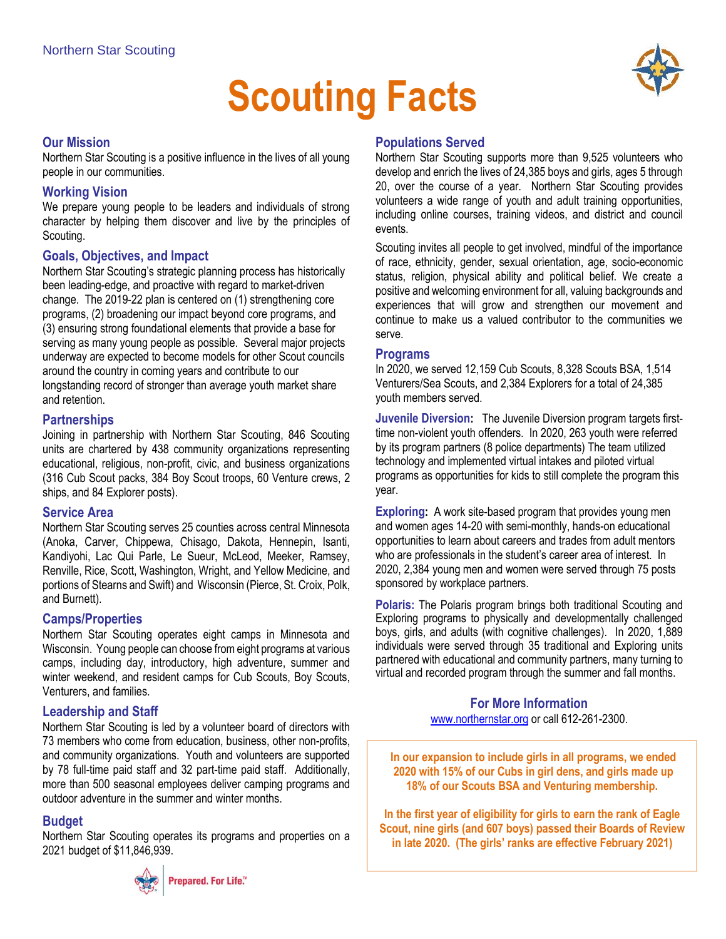# **Scouting Facts**

## **Our Mission**

Northern Star Scouting is a positive influence in the lives of all young people in our communities.

## **Working Vision**

We prepare young people to be leaders and individuals of strong character by helping them discover and live by the principles of Scouting.

## **Goals, Objectives, and Impact**

Northern Star Scouting's strategic planning process has historically been leading-edge, and proactive with regard to market-driven change. The 2019-22 plan is centered on (1) strengthening core programs, (2) broadening our impact beyond core programs, and (3) ensuring strong foundational elements that provide a base for serving as many young people as possible. Several major projects underway are expected to become models for other Scout councils around the country in coming years and contribute to our longstanding record of stronger than average youth market share and retention.

## **Partnerships**

Joining in partnership with Northern Star Scouting, 846 Scouting units are chartered by 438 community organizations representing educational, religious, non-profit, civic, and business organizations (316 Cub Scout packs, 384 Boy Scout troops, 60 Venture crews, 2 ships, and 84 Explorer posts).

#### **Service Area**

Northern Star Scouting serves 25 counties across central Minnesota (Anoka, Carver, Chippewa, Chisago, Dakota, Hennepin, Isanti, Kandiyohi, Lac Qui Parle, Le Sueur, McLeod, Meeker, Ramsey, Renville, Rice, Scott, Washington, Wright, and Yellow Medicine, and portions of Stearns and Swift) and Wisconsin (Pierce, St. Croix, Polk, and Burnett).

# **Camps/Properties**

Northern Star Scouting operates eight camps in Minnesota and Wisconsin. Young people can choose from eight programs at various camps, including day, introductory, high adventure, summer and winter weekend, and resident camps for Cub Scouts, Boy Scouts, Venturers, and families.

# **Leadership and Staff**

Northern Star Scouting is led by a volunteer board of directors with 73 members who come from education, business, other non-profits, and community organizations. Youth and volunteers are supported by 78 full-time paid staff and 32 part-time paid staff. Additionally, more than 500 seasonal employees deliver camping programs and outdoor adventure in the summer and winter months.

# **Budget**

Northern Star Scouting operates its programs and properties on a 2021 budget of \$11,846,939.



# **Populations Served**

Northern Star Scouting supports more than 9,525 volunteers who develop and enrich the lives of 24,385 boys and girls, ages 5 through 20, over the course of a year. Northern Star Scouting provides volunteers a wide range of youth and adult training opportunities, including online courses, training videos, and district and council events.

Scouting invites all people to get involved, mindful of the importance of race, ethnicity, gender, sexual orientation, age, socio-economic status, religion, physical ability and political belief. We create a positive and welcoming environment for all, valuing backgrounds and experiences that will grow and strengthen our movement and continue to make us a valued contributor to the communities we serve.

#### **Programs**

In 2020, we served 12,159 Cub Scouts, 8,328 Scouts BSA, 1,514 Venturers/Sea Scouts, and 2,384 Explorers for a total of 24,385 youth members served.

**Juvenile Diversion:** The Juvenile Diversion program targets firsttime non-violent youth offenders. In 2020, 263 youth were referred by its program partners (8 police departments) The team utilized technology and implemented virtual intakes and piloted virtual programs as opportunities for kids to still complete the program this year.

**Exploring:** A work site-based program that provides young men and women ages 14-20 with semi-monthly, hands-on educational opportunities to learn about careers and trades from adult mentors who are professionals in the student's career area of interest. In 2020, 2,384 young men and women were served through 75 posts sponsored by workplace partners.

**Polaris:** The Polaris program brings both traditional Scouting and Exploring programs to physically and developmentally challenged boys, girls, and adults (with cognitive challenges). In 2020, 1,889 individuals were served through 35 traditional and Exploring units partnered with educational and community partners, many turning to virtual and recorded program through the summer and fall months.

> **For More Information** [www.northernstar.org](http://www.northernstar.org/) or call 612-261-2300.

**In our expansion to include girls in all programs, we ended 2020 with 15% of our Cubs in girl dens, and girls made up 18% of our Scouts BSA and Venturing membership.**

**In the first year of eligibility for girls to earn the rank of Eagle Scout, nine girls (and 607 boys) passed their Boards of Review in late 2020. (The girls' ranks are effective February 2021)**